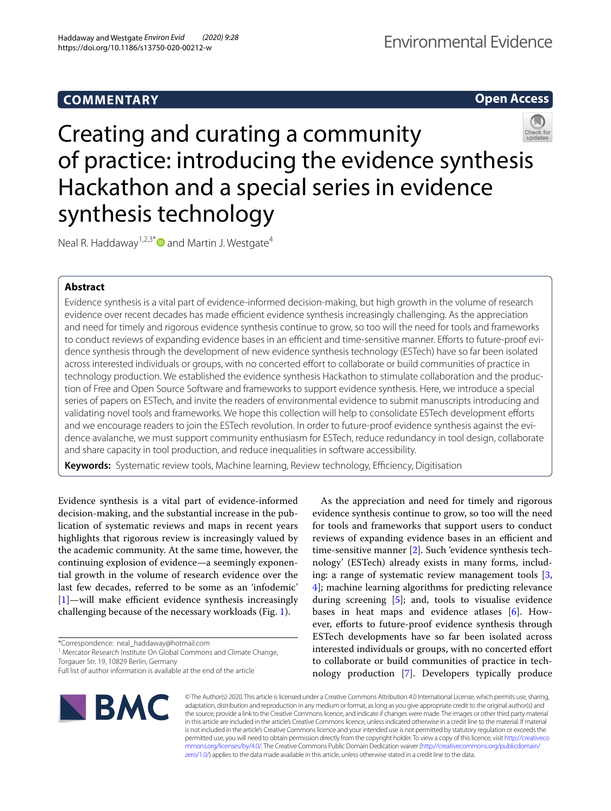## **COMMENTARY**

**Open Access**

# Creating and curating a community of practice: introducing the evidence synthesis Hackathon and a special series in evidence synthesis technology

Neal R. Haddaway<sup>1,2,3\*</sup> and Martin J. Westgate<sup>4</sup>

### **Abstract**

Evidence synthesis is a vital part of evidence-informed decision-making, but high growth in the volume of research evidence over recent decades has made efficient evidence synthesis increasingly challenging. As the appreciation and need for timely and rigorous evidence synthesis continue to grow, so too will the need for tools and frameworks to conduct reviews of expanding evidence bases in an efficient and time-sensitive manner. Efforts to future-proof evidence synthesis through the development of new evidence synthesis technology (ESTech) have so far been isolated across interested individuals or groups, with no concerted effort to collaborate or build communities of practice in technology production. We established the evidence synthesis Hackathon to stimulate collaboration and the production of Free and Open Source Software and frameworks to support evidence synthesis. Here, we introduce a special series of papers on ESTech, and invite the readers of environmental evidence to submit manuscripts introducing and validating novel tools and frameworks. We hope this collection will help to consolidate ESTech development eforts and we encourage readers to join the ESTech revolution. In order to future-proof evidence synthesis against the evidence avalanche, we must support community enthusiasm for ESTech, reduce redundancy in tool design, collaborate and share capacity in tool production, and reduce inequalities in software accessibility.

Keywords: Systematic review tools, Machine learning, Review technology, Efficiency, Digitisation

Evidence synthesis is a vital part of evidence-informed decision-making, and the substantial increase in the publication of systematic reviews and maps in recent years highlights that rigorous review is increasingly valued by the academic community. At the same time, however, the continuing explosion of evidence—a seemingly exponential growth in the volume of research evidence over the last few decades, referred to be some as an 'infodemic'  $[1]$  $[1]$ —will make efficient evidence synthesis increasingly challenging because of the necessary workloads (Fig. [1\)](#page-1-0).

<sup>1</sup> Mercator Research Institute On Global Commons and Climate Change, Torgauer Str. 19, 10829 Berlin, Germany

As the appreciation and need for timely and rigorous evidence synthesis continue to grow, so too will the need for tools and frameworks that support users to conduct reviews of expanding evidence bases in an efficient and time-sensitive manner [\[2](#page-3-1)]. Such 'evidence synthesis technology' (ESTech) already exists in many forms, including: a range of systematic review management tools  $[3, 3]$  $[3, 3]$ [4\]](#page-3-3); machine learning algorithms for predicting relevance during screening [\[5](#page-3-4)]; and, tools to visualise evidence bases in heat maps and evidence atlases [[6\]](#page-3-5). However, efforts to future-proof evidence synthesis through ESTech developments have so far been isolated across interested individuals or groups, with no concerted efort to collaborate or build communities of practice in technology production [[7\]](#page-3-6). Developers typically produce



© The Author(s) 2020. This article is licensed under a Creative Commons Attribution 4.0 International License, which permits use, sharing, adaptation, distribution and reproduction in any medium or format, as long as you give appropriate credit to the original author(s) and the source, provide a link to the Creative Commons licence, and indicate if changes were made. The images or other third party material in this article are included in the article's Creative Commons licence, unless indicated otherwise in a credit line to the material. If material is not included in the article's Creative Commons licence and your intended use is not permitted by statutory regulation or exceeds the permitted use, you will need to obtain permission directly from the copyright holder. To view a copy of this licence, visit [http://creativeco](http://creativecommons.org/licenses/by/4.0/) [mmons.org/licenses/by/4.0/.](http://creativecommons.org/licenses/by/4.0/) The Creative Commons Public Domain Dedication waiver ([http://creativecommons.org/publicdomain/](http://creativecommons.org/publicdomain/zero/1.0/) [zero/1.0/\)](http://creativecommons.org/publicdomain/zero/1.0/) applies to the data made available in this article, unless otherwise stated in a credit line to the data.



<sup>\*</sup>Correspondence: neal\_haddaway@hotmail.com

Full list of author information is available at the end of the article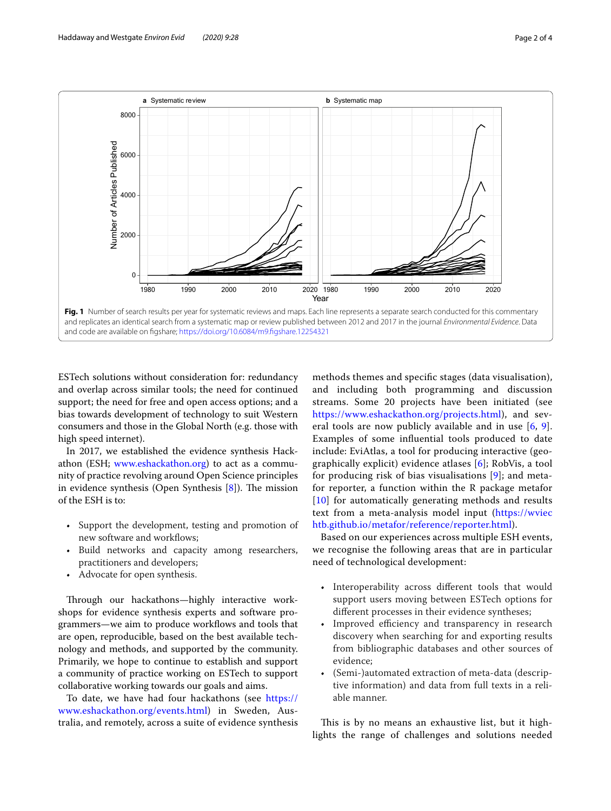

<span id="page-1-0"></span>ESTech solutions without consideration for: redundancy and overlap across similar tools; the need for continued support; the need for free and open access options; and a bias towards development of technology to suit Western consumers and those in the Global North (e.g. those with high speed internet).

In 2017, we established the evidence synthesis Hackathon (ESH; [www.eshackathon.org\)](http://www.eshackathon.org) to act as a community of practice revolving around Open Science principles in evidence synthesis (Open Synthesis  $[8]$  $[8]$ ). The mission of the ESH is to:

- Support the development, testing and promotion of new software and workflows;
- Build networks and capacity among researchers, practitioners and developers;
- Advocate for open synthesis.

Through our hackathons—highly interactive workshops for evidence synthesis experts and software programmers—we aim to produce workflows and tools that are open, reproducible, based on the best available technology and methods, and supported by the community. Primarily, we hope to continue to establish and support a community of practice working on ESTech to support collaborative working towards our goals and aims.

To date, we have had four hackathons (see [https://](https://www.eshackathon.org/events.html) [www.eshackathon.org/events.html](https://www.eshackathon.org/events.html)) in Sweden, Australia, and remotely, across a suite of evidence synthesis methods themes and specifc stages (data visualisation), and including both programming and discussion streams. Some 20 projects have been initiated (see [https://www.eshackathon.org/projects.html\)](https://www.eshackathon.org/projects.html), and several tools are now publicly available and in use [[6,](#page-3-5) [9](#page-3-8)]. Examples of some infuential tools produced to date include: EviAtlas, a tool for producing interactive (geographically explicit) evidence atlases [[6\]](#page-3-5); RobVis, a tool for producing risk of bias visualisations [[9\]](#page-3-8); and metafor reporter, a function within the R package metafor [[10](#page-3-9)] for automatically generating methods and results text from a meta-analysis model input ([https://wviec](https://wviechtb.github.io/metafor/reference/reporter.html) [htb.github.io/metafor/reference/reporter.html\)](https://wviechtb.github.io/metafor/reference/reporter.html).

Based on our experiences across multiple ESH events, we recognise the following areas that are in particular need of technological development:

- Interoperability across diferent tools that would support users moving between ESTech options for diferent processes in their evidence syntheses;
- Improved efficiency and transparency in research discovery when searching for and exporting results from bibliographic databases and other sources of evidence;
- (Semi-)automated extraction of meta-data (descriptive information) and data from full texts in a reliable manner.

This is by no means an exhaustive list, but it highlights the range of challenges and solutions needed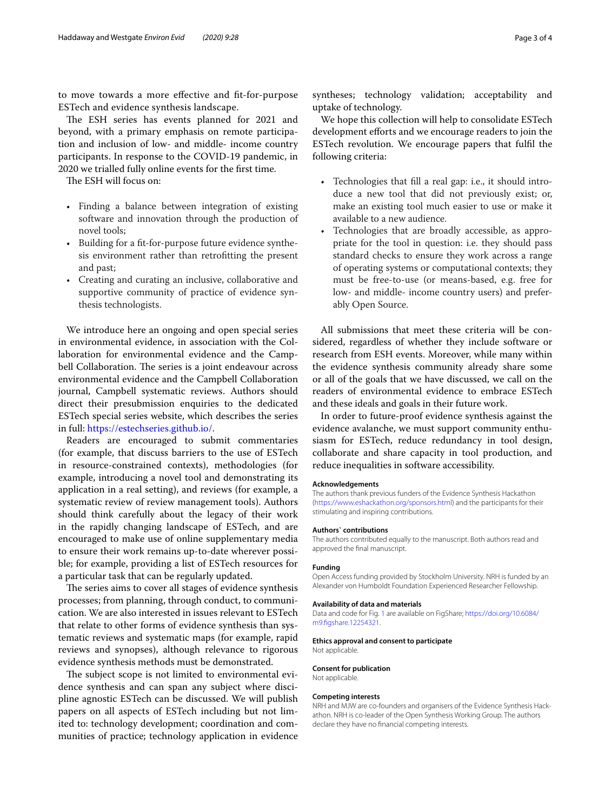to move towards a more efective and ft-for-purpose ESTech and evidence synthesis landscape.

The ESH series has events planned for 2021 and beyond, with a primary emphasis on remote participation and inclusion of low- and middle- income country participants. In response to the COVID-19 pandemic, in 2020 we trialled fully online events for the frst time.

The ESH will focus on:

- Finding a balance between integration of existing software and innovation through the production of novel tools;
- Building for a ft-for-purpose future evidence synthesis environment rather than retroftting the present and past;
- Creating and curating an inclusive, collaborative and supportive community of practice of evidence synthesis technologists.

We introduce here an ongoing and open special series in environmental evidence, in association with the Collaboration for environmental evidence and the Campbell Collaboration. The series is a joint endeavour across environmental evidence and the Campbell Collaboration journal, Campbell systematic reviews. Authors should direct their presubmission enquiries to the dedicated ESTech special series website, which describes the series in full: [https://estechseries.github.io/.](https://estechseries.github.io/)

Readers are encouraged to submit commentaries (for example, that discuss barriers to the use of ESTech in resource-constrained contexts), methodologies (for example, introducing a novel tool and demonstrating its application in a real setting), and reviews (for example, a systematic review of review management tools). Authors should think carefully about the legacy of their work in the rapidly changing landscape of ESTech, and are encouraged to make use of online supplementary media to ensure their work remains up-to-date wherever possible; for example, providing a list of ESTech resources for a particular task that can be regularly updated.

The series aims to cover all stages of evidence synthesis processes; from planning, through conduct, to communication. We are also interested in issues relevant to ESTech that relate to other forms of evidence synthesis than systematic reviews and systematic maps (for example, rapid reviews and synopses), although relevance to rigorous evidence synthesis methods must be demonstrated.

The subject scope is not limited to environmental evidence synthesis and can span any subject where discipline agnostic ESTech can be discussed. We will publish papers on all aspects of ESTech including but not limited to: technology development; coordination and communities of practice; technology application in evidence

syntheses; technology validation; acceptability and uptake of technology.

We hope this collection will help to consolidate ESTech development eforts and we encourage readers to join the ESTech revolution. We encourage papers that fulfl the following criteria:

- Technologies that fll a real gap: i.e., it should introduce a new tool that did not previously exist; or, make an existing tool much easier to use or make it available to a new audience.
- Technologies that are broadly accessible, as appropriate for the tool in question: i.e. they should pass standard checks to ensure they work across a range of operating systems or computational contexts; they must be free-to-use (or means-based, e.g. free for low- and middle- income country users) and preferably Open Source.

All submissions that meet these criteria will be considered, regardless of whether they include software or research from ESH events. Moreover, while many within the evidence synthesis community already share some or all of the goals that we have discussed, we call on the readers of environmental evidence to embrace ESTech and these ideals and goals in their future work.

In order to future-proof evidence synthesis against the evidence avalanche, we must support community enthusiasm for ESTech, reduce redundancy in tool design, collaborate and share capacity in tool production, and reduce inequalities in software accessibility.

#### **Acknowledgements**

The authors thank previous funders of the Evidence Synthesis Hackathon ([https://www.eshackathon.org/sponsors.html\)](https://www.eshackathon.org/sponsors.html) and the participants for their stimulating and inspiring contributions.

#### **Authors**' **contributions**

The authors contributed equally to the manuscript. Both authors read and approved the fnal manuscript.

#### **Funding**

Open Access funding provided by Stockholm University. NRH is funded by an Alexander von Humboldt Foundation Experienced Researcher Fellowship.

#### **Availability of data and materials**

Data and code for Fig. [1](#page-1-0) are available on FigShare; [https://doi.org/10.6084/](https://doi.org/10.6084/m9.figshare.12254321) m9.figshare.12254321.

#### **Ethics approval and consent to participate**

Not applicable.

#### **Consent for publication**

Not applicable.

#### **Competing interests**

NRH and MJW are co-founders and organisers of the Evidence Synthesis Hackathon. NRH is co-leader of the Open Synthesis Working Group. The authors declare they have no fnancial competing interests.